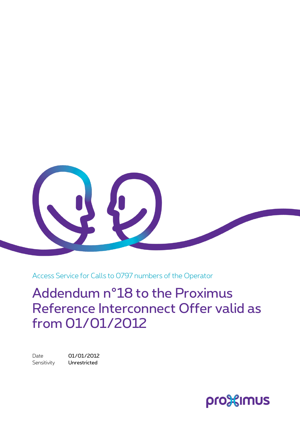

Access Service for Calls to 0797 numbers of the Operator

Addendum n°18 to the Proximus Reference Interconnect Offer valid as from 01/01/2012

Date 01/01/2012 Sensitivity **Unrestricted** 

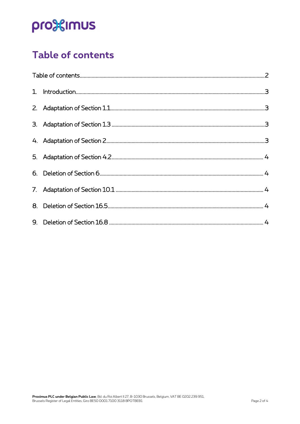# pro<sup>32</sup>imus

### <span id="page-1-0"></span>Table of contents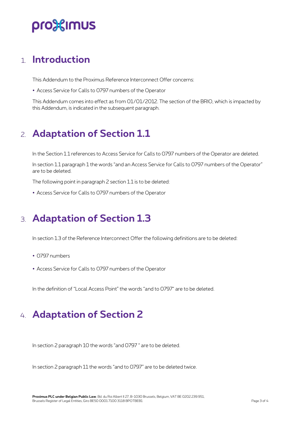## pro%imus

#### <span id="page-2-0"></span>1. **Introduction**

This Addendum to the Proximus Reference Interconnect Offer concerns:

Access Service for Calls to 0797 numbers of the Operator

<span id="page-2-1"></span>This Addendum comes into effect as from 01/01/2012. The section of the BRIO, which is impacted by this Addendum, is indicated in the subsequent paragraph.

### 2. **Adaptation of Section 1.1**

In the Section 1.1 references to Access Service for Calls to 0797 numbers of the Operator are deleted.

In section 1.1 paragraph 1 the words "and an Access Service for Calls to 0797 numbers of the Operator" are to be deleted.

The following point in paragraph 2 section 1.1 is to be deleted:

<span id="page-2-2"></span>Access Service for Calls to 0797 numbers of the Operator

### 3. **Adaptation of Section 1.3**

In section 1.3 of the Reference Interconnect Offer the following definitions are to be deleted:

- 0797 numbers
- Access Service for Calls to 0797 numbers of the Operator

<span id="page-2-3"></span>In the definition of "Local Access Point" the words "and to 0797" are to be deleted.

### 4. **Adaptation of Section 2**

In section 2 paragraph 10 the words "and 0797 " are to be deleted.

In section 2 paragraph 11 the words "and to 0797" are to be deleted twice.